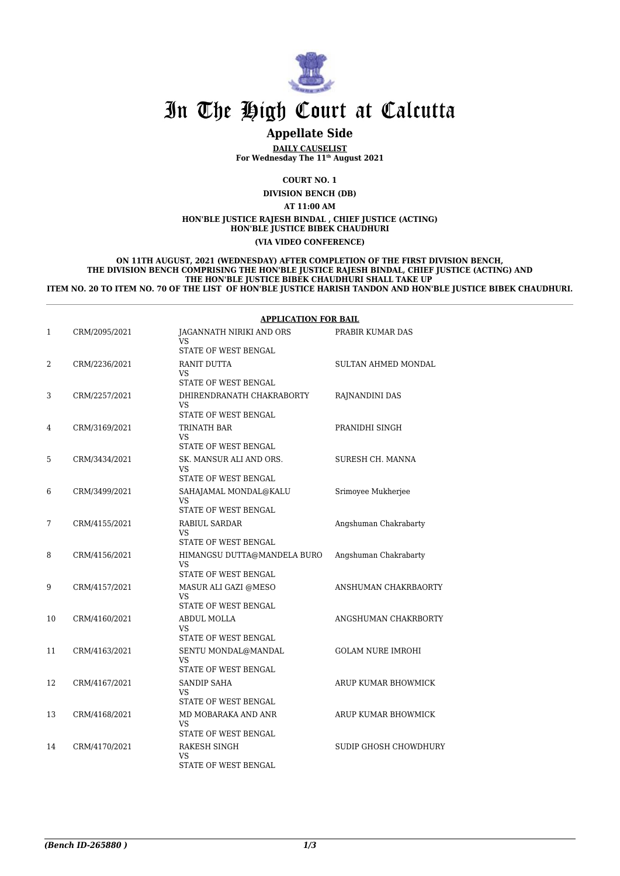

# In The High Court at Calcutta

# **Appellate Side**

**DAILY CAUSELIST For Wednesday The 11th August 2021**

#### **COURT NO. 1 DIVISION BENCH (DB)**

# **AT 11:00 AM**

**HON'BLE JUSTICE RAJESH BINDAL , CHIEF JUSTICE (ACTING) HON'BLE JUSTICE BIBEK CHAUDHURI**

#### **(VIA VIDEO CONFERENCE)**

#### **ON 11TH AUGUST, 2021 (WEDNESDAY) AFTER COMPLETION OF THE FIRST DIVISION BENCH, THE DIVISION BENCH COMPRISING THE HON'BLE JUSTICE RAJESH BINDAL, CHIEF JUSTICE (ACTING) AND THE HON'BLE JUSTICE BIBEK CHAUDHURI SHALL TAKE UP ITEM NO. 20 TO ITEM NO. 70 OF THE LIST OF HON'BLE JUSTICE HARISH TANDON AND HON'BLE JUSTICE BIBEK CHAUDHURI.**

#### **APPLICATION FOR BAIL**

| $\mathbf{1}$ | CRM/2095/2021 | <b>JAGANNATH NIRIKI AND ORS</b><br>VS<br>STATE OF WEST BENGAL | PRABIR KUMAR DAS             |
|--------------|---------------|---------------------------------------------------------------|------------------------------|
| 2            | CRM/2236/2021 | RANIT DUTTA<br>VS<br>STATE OF WEST BENGAL                     | SULTAN AHMED MONDAL          |
| 3            | CRM/2257/2021 | DHIRENDRANATH CHAKRABORTY<br>VS.<br>STATE OF WEST BENGAL      | RAJNANDINI DAS               |
| 4            | CRM/3169/2021 | TRINATH BAR<br><b>VS</b><br>STATE OF WEST BENGAL              | PRANIDHI SINGH               |
| 5            | CRM/3434/2021 | SK. MANSUR ALI AND ORS.<br>VS<br>STATE OF WEST BENGAL         | SURESH CH. MANNA             |
| 6            | CRM/3499/2021 | SAHAJAMAL MONDAL@KALU<br>VS.<br>STATE OF WEST BENGAL          | Srimoyee Mukherjee           |
| 7            | CRM/4155/2021 | RABIUL SARDAR<br>VS<br>STATE OF WEST BENGAL                   | Angshuman Chakrabarty        |
| 8            | CRM/4156/2021 | HIMANGSU DUTTA@MANDELA BURO<br>VS<br>STATE OF WEST BENGAL     | Angshuman Chakrabarty        |
| 9            | CRM/4157/2021 | MASUR ALI GAZI @MESO<br><b>VS</b><br>STATE OF WEST BENGAL     | ANSHUMAN CHAKRBAORTY         |
| 10           | CRM/4160/2021 | ABDUL MOLLA<br>VS.<br>STATE OF WEST BENGAL                    | ANGSHUMAN CHAKRBORTY         |
| 11           | CRM/4163/2021 | SENTU MONDAL@MANDAL<br><b>VS</b><br>STATE OF WEST BENGAL      | <b>GOLAM NURE IMROHI</b>     |
| 12           | CRM/4167/2021 | <b>SANDIP SAHA</b><br>VS<br>STATE OF WEST BENGAL              | ARUP KUMAR BHOWMICK          |
| 13           | CRM/4168/2021 | MD MOBARAKA AND ANR<br>VS.<br>STATE OF WEST BENGAL            | ARUP KUMAR BHOWMICK          |
| 14           | CRM/4170/2021 | RAKESH SINGH<br><b>VS</b><br>STATE OF WEST BENGAL             | <b>SUDIP GHOSH CHOWDHURY</b> |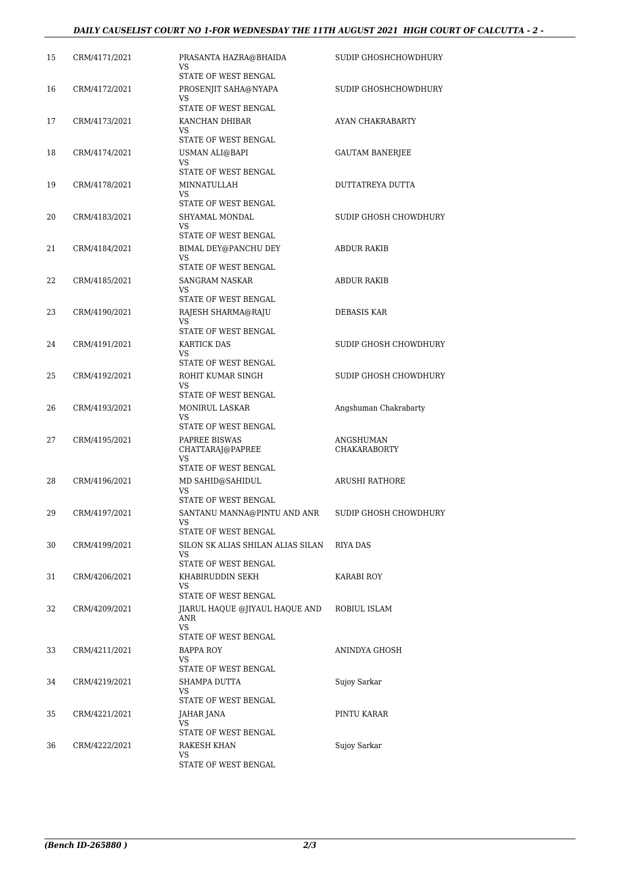# *DAILY CAUSELIST COURT NO 1-FOR WEDNESDAY THE 11TH AUGUST 2021 HIGH COURT OF CALCUTTA - 2 -*

| 15 | CRM/4171/2021 | PRASANTA HAZRA@BHAIDA<br>VS<br>STATE OF WEST BENGAL                        | SUDIP GHOSHCHOWDHURY             |
|----|---------------|----------------------------------------------------------------------------|----------------------------------|
| 16 | CRM/4172/2021 | PROSENJIT SAHA@NYAPA<br>VS                                                 | SUDIP GHOSHCHOWDHURY             |
| 17 | CRM/4173/2021 | STATE OF WEST BENGAL<br>KANCHAN DHIBAR<br>VS                               | AYAN CHAKRABARTY                 |
| 18 | CRM/4174/2021 | STATE OF WEST BENGAL<br>USMAN ALI@BAPI<br>VS                               | <b>GAUTAM BANERJEE</b>           |
| 19 | CRM/4178/2021 | STATE OF WEST BENGAL<br>MINNATULLAH<br>VS                                  | DUTTATREYA DUTTA                 |
| 20 | CRM/4183/2021 | STATE OF WEST BENGAL<br>SHYAMAL MONDAL<br>VS<br>STATE OF WEST BENGAL       | SUDIP GHOSH CHOWDHURY            |
| 21 | CRM/4184/2021 | BIMAL DEY@PANCHU DEY<br>VS                                                 | ABDUR RAKIB                      |
| 22 | CRM/4185/2021 | STATE OF WEST BENGAL<br><b>SANGRAM NASKAR</b><br>VS.                       | <b>ABDUR RAKIB</b>               |
| 23 | CRM/4190/2021 | STATE OF WEST BENGAL<br>RAJESH SHARMA@RAJU<br>VS                           | DEBASIS KAR                      |
| 24 | CRM/4191/2021 | STATE OF WEST BENGAL<br>KARTICK DAS<br>VS                                  | SUDIP GHOSH CHOWDHURY            |
| 25 | CRM/4192/2021 | STATE OF WEST BENGAL<br>ROHIT KUMAR SINGH<br>VS.                           | SUDIP GHOSH CHOWDHURY            |
| 26 | CRM/4193/2021 | STATE OF WEST BENGAL<br><b>MONIRUL LASKAR</b><br>VS                        | Angshuman Chakrabarty            |
| 27 | CRM/4195/2021 | STATE OF WEST BENGAL<br>PAPREE BISWAS<br>CHATTARAJ@PAPREE<br>VS            | ANGSHUMAN<br><b>CHAKARABORTY</b> |
| 28 | CRM/4196/2021 | STATE OF WEST BENGAL<br>MD SAHID@SAHIDUL<br>VS<br>STATE OF WEST BENGAL     | <b>ARUSHI RATHORE</b>            |
| 29 | CRM/4197/2021 | SANTANU MANNA@PINTU AND ANR<br>VS<br>STATE OF WEST BENGAL                  | SUDIP GHOSH CHOWDHURY            |
| 30 | CRM/4199/2021 | SILON SK ALIAS SHILAN ALIAS SILAN<br>VS<br>STATE OF WEST BENGAL            | RIYA DAS                         |
| 31 | CRM/4206/2021 | KHABIRUDDIN SEKH<br>VS.<br>STATE OF WEST BENGAL                            | KARABI ROY                       |
| 32 | CRM/4209/2021 | JIARUL HAQUE @JIYAUL HAQUE AND<br>ANR<br><b>VS</b><br>STATE OF WEST BENGAL | ROBIUL ISLAM                     |
| 33 | CRM/4211/2021 | <b>BAPPA ROY</b><br>VS<br>STATE OF WEST BENGAL                             | ANINDYA GHOSH                    |
| 34 | CRM/4219/2021 | SHAMPA DUTTA<br>VS<br>STATE OF WEST BENGAL                                 | Sujoy Sarkar                     |
| 35 | CRM/4221/2021 | JAHAR JANA<br>VS                                                           | PINTU KARAR                      |
| 36 | CRM/4222/2021 | STATE OF WEST BENGAL<br>RAKESH KHAN<br>VS.<br>STATE OF WEST BENGAL         | Sujoy Sarkar                     |